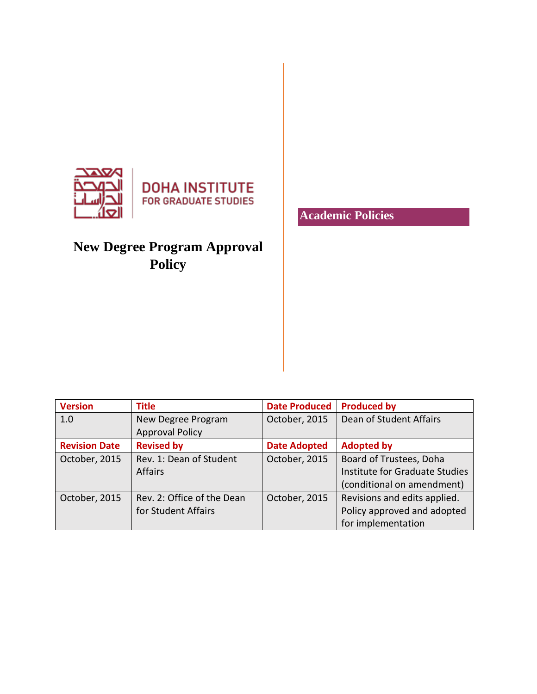

**DOHA INSTITUTE**<br>FOR GRADUATE STUDIES

# **New Degree Program Approval Policy**

**Academic Policies**

| <b>Version</b>       | <b>Title</b>               | <b>Date Produced</b> | <b>Produced by</b>             |
|----------------------|----------------------------|----------------------|--------------------------------|
| 1.0                  | New Degree Program         | October, 2015        | Dean of Student Affairs        |
|                      | <b>Approval Policy</b>     |                      |                                |
| <b>Revision Date</b> | <b>Revised by</b>          | <b>Date Adopted</b>  | <b>Adopted by</b>              |
| October, 2015        | Rev. 1: Dean of Student    | October, 2015        | Board of Trustees, Doha        |
|                      | <b>Affairs</b>             |                      | Institute for Graduate Studies |
|                      |                            |                      | (conditional on amendment)     |
| October, 2015        | Rev. 2: Office of the Dean | October, 2015        | Revisions and edits applied.   |
|                      | for Student Affairs        |                      | Policy approved and adopted    |
|                      |                            |                      | for implementation             |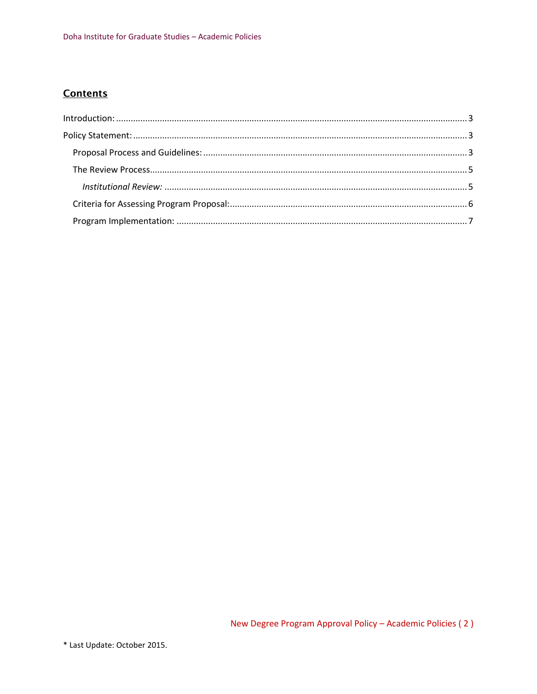# **Contents**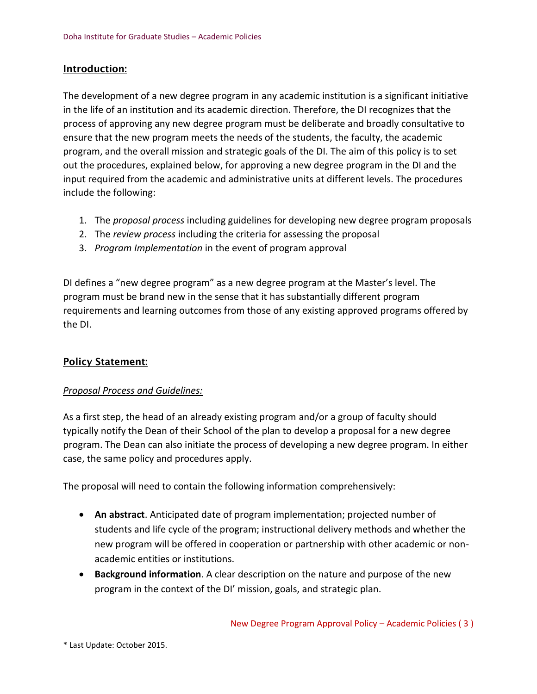### <span id="page-2-0"></span>Introduction:

The development of a new degree program in any academic institution is a significant initiative in the life of an institution and its academic direction. Therefore, the DI recognizes that the process of approving any new degree program must be deliberate and broadly consultative to ensure that the new program meets the needs of the students, the faculty, the academic program, and the overall mission and strategic goals of the DI. The aim of this policy is to set out the procedures, explained below, for approving a new degree program in the DI and the input required from the academic and administrative units at different levels. The procedures include the following:

- 1. The *proposal process* including guidelines for developing new degree program proposals
- 2. The *review process* including the criteria for assessing the proposal
- 3. *Program Implementation* in the event of program approval

DI defines a "new degree program" as a new degree program at the Master's level. The program must be brand new in the sense that it has substantially different program requirements and learning outcomes from those of any existing approved programs offered by the DI.

## <span id="page-2-1"></span>Policy Statement:

## <span id="page-2-2"></span>*Proposal Process and Guidelines:*

As a first step, the head of an already existing program and/or a group of faculty should typically notify the Dean of their School of the plan to develop a proposal for a new degree program. The Dean can also initiate the process of developing a new degree program. In either case, the same policy and procedures apply.

The proposal will need to contain the following information comprehensively:

- **An abstract**. Anticipated date of program implementation; projected number of students and life cycle of the program; instructional delivery methods and whether the new program will be offered in cooperation or partnership with other academic or nonacademic entities or institutions.
- **Background information**. A clear description on the nature and purpose of the new program in the context of the DI' mission, goals, and strategic plan.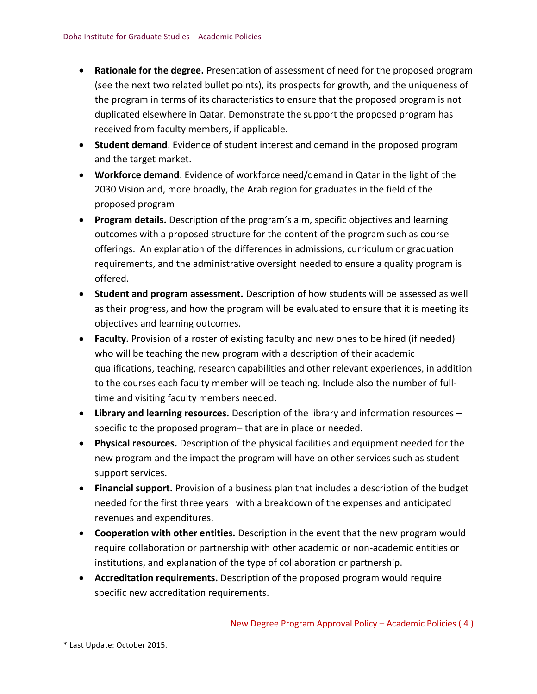- **Rationale for the degree.** Presentation of assessment of need for the proposed program (see the next two related bullet points), its prospects for growth, and the uniqueness of the program in terms of its characteristics to ensure that the proposed program is not duplicated elsewhere in Qatar. Demonstrate the support the proposed program has received from faculty members, if applicable.
- **Student demand**. Evidence of student interest and demand in the proposed program and the target market.
- **Workforce demand**. Evidence of workforce need/demand in Qatar in the light of the 2030 Vision and, more broadly, the Arab region for graduates in the field of the proposed program
- **Program details.** Description of the program's aim, specific objectives and learning outcomes with a proposed structure for the content of the program such as course offerings. An explanation of the differences in admissions, curriculum or graduation requirements, and the administrative oversight needed to ensure a quality program is offered.
- **Student and program assessment.** Description of how students will be assessed as well as their progress, and how the program will be evaluated to ensure that it is meeting its objectives and learning outcomes.
- **Faculty.** Provision of a roster of existing faculty and new ones to be hired (if needed) who will be teaching the new program with a description of their academic qualifications, teaching, research capabilities and other relevant experiences, in addition to the courses each faculty member will be teaching. Include also the number of fulltime and visiting faculty members needed.
- **Library and learning resources.** Description of the library and information resources specific to the proposed program– that are in place or needed.
- **Physical resources.** Description of the physical facilities and equipment needed for the new program and the impact the program will have on other services such as student support services.
- **Financial support.** Provision of a business plan that includes a description of the budget needed for the first three years with a breakdown of the expenses and anticipated revenues and expenditures.
- **Cooperation with other entities.** Description in the event that the new program would require collaboration or partnership with other academic or non-academic entities or institutions, and explanation of the type of collaboration or partnership.
- **Accreditation requirements.** Description of the proposed program would require specific new accreditation requirements.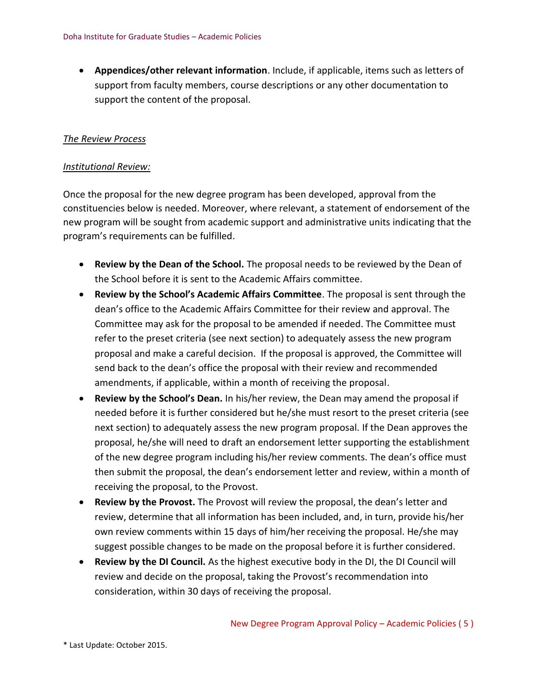• **Appendices/other relevant information**. Include, if applicable, items such as letters of support from faculty members, course descriptions or any other documentation to support the content of the proposal.

#### <span id="page-4-0"></span>*The Review Process*

#### <span id="page-4-1"></span>*Institutional Review:*

Once the proposal for the new degree program has been developed, approval from the constituencies below is needed. Moreover, where relevant, a statement of endorsement of the new program will be sought from academic support and administrative units indicating that the program's requirements can be fulfilled.

- **Review by the Dean of the School.** The proposal needs to be reviewed by the Dean of the School before it is sent to the Academic Affairs committee.
- **Review by the School's Academic Affairs Committee**. The proposal is sent through the dean's office to the Academic Affairs Committee for their review and approval. The Committee may ask for the proposal to be amended if needed. The Committee must refer to the preset criteria (see next section) to adequately assess the new program proposal and make a careful decision. If the proposal is approved, the Committee will send back to the dean's office the proposal with their review and recommended amendments, if applicable, within a month of receiving the proposal.
- **Review by the School's Dean.** In his/her review, the Dean may amend the proposal if needed before it is further considered but he/she must resort to the preset criteria (see next section) to adequately assess the new program proposal. If the Dean approves the proposal, he/she will need to draft an endorsement letter supporting the establishment of the new degree program including his/her review comments. The dean's office must then submit the proposal, the dean's endorsement letter and review, within a month of receiving the proposal, to the Provost.
- **Review by the Provost.** The Provost will review the proposal, the dean's letter and review, determine that all information has been included, and, in turn, provide his/her own review comments within 15 days of him/her receiving the proposal. He/she may suggest possible changes to be made on the proposal before it is further considered.
- **Review by the DI Council.** As the highest executive body in the DI, the DI Council will review and decide on the proposal, taking the Provost's recommendation into consideration, within 30 days of receiving the proposal.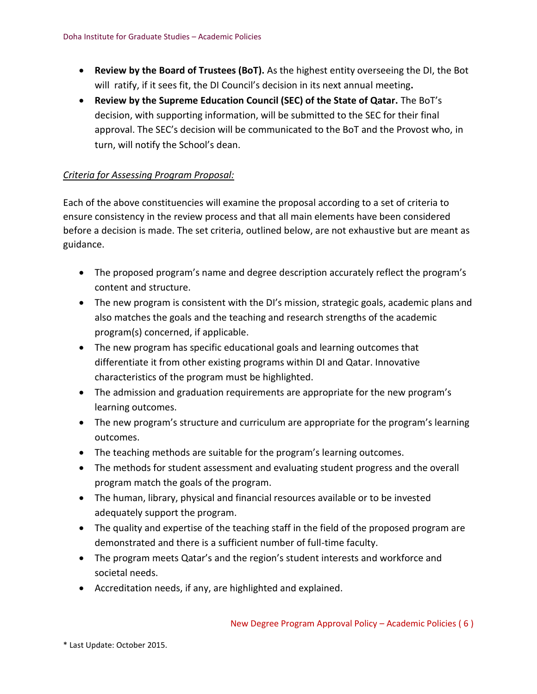- **Review by the Board of Trustees (BoT).** As the highest entity overseeing the DI, the Bot will ratify, if it sees fit, the DI Council's decision in its next annual meeting**.**
- **Review by the Supreme Education Council (SEC) of the State of Qatar.** The BoT's decision, with supporting information, will be submitted to the SEC for their final approval. The SEC's decision will be communicated to the BoT and the Provost who, in turn, will notify the School's dean.

## <span id="page-5-0"></span>*Criteria for Assessing Program Proposal:*

Each of the above constituencies will examine the proposal according to a set of criteria to ensure consistency in the review process and that all main elements have been considered before a decision is made. The set criteria, outlined below, are not exhaustive but are meant as guidance.

- The proposed program's name and degree description accurately reflect the program's content and structure.
- The new program is consistent with the DI's mission, strategic goals, academic plans and also matches the goals and the teaching and research strengths of the academic program(s) concerned, if applicable.
- The new program has specific educational goals and learning outcomes that differentiate it from other existing programs within DI and Qatar. Innovative characteristics of the program must be highlighted.
- The admission and graduation requirements are appropriate for the new program's learning outcomes.
- The new program's structure and curriculum are appropriate for the program's learning outcomes.
- The teaching methods are suitable for the program's learning outcomes.
- The methods for student assessment and evaluating student progress and the overall program match the goals of the program.
- The human, library, physical and financial resources available or to be invested adequately support the program.
- The quality and expertise of the teaching staff in the field of the proposed program are demonstrated and there is a sufficient number of full-time faculty.
- The program meets Qatar's and the region's student interests and workforce and societal needs.
- Accreditation needs, if any, are highlighted and explained.